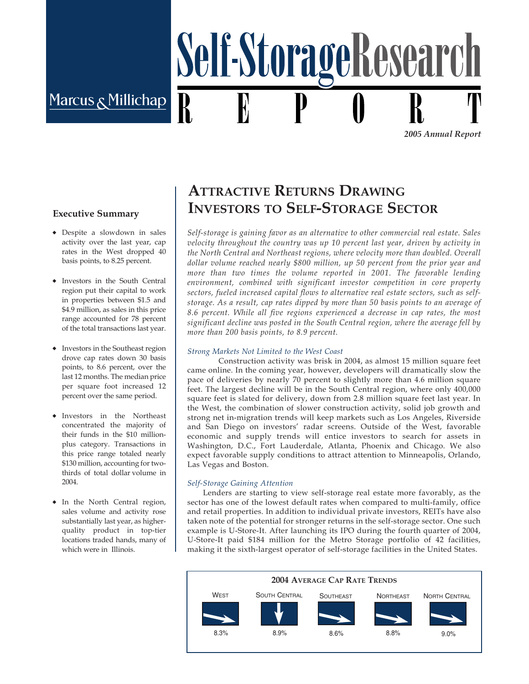# Marcus Nillichap

*2005 Annual Report*

#### **Executive Summary**

- Despite a slowdown in sales ◆ activity over the last year, cap rates in the West dropped 40 basis points, to 8.25 percent.
- ◆ Investors in the South Central region put their capital to work in properties between \$1.5 and \$4.9 million, as sales in this price range accounted for 78 percent of the total transactions last year.
- ◆ Investors in the Southeast region drove cap rates down 30 basis points, to 8.6 percent, over the last 12 months. The median price per square foot increased 12 percent over the same period.
- ◆ Investors in the Northeast concentrated the majority of their funds in the \$10 millionplus category. Transactions in this price range totaled nearly \$130 million, accounting for twothirds of total dollar volume in 2004.
- ◆ In the North Central region, sales volume and activity rose substantially last year, as higherquality product in top-tier locations traded hands, many of which were in Illinois.

## **ATTRACTIVE RETURNS DRAWING INVESTORS TO SELF-STORAGE SECTOR**

Self-StorageResearc

*Self-storage is gaining favor as an alternative to other commercial real estate. Sales velocity throughout the country was up 10 percent last year, driven by activity in the North Central and Northeast regions, where velocity more than doubled. Overall dollar volume reached nearly \$800 million, up 50 percent from the prior year and more than two times the volume reported in 2001. The favorable lending environment, combined with significant investor competition in core property sectors, fueled increased capital flows to alternative real estate sectors, such as selfstorage. As a result, cap rates dipped by more than 50 basis points to an average of 8.6 percent. While all five regions experienced a decrease in cap rates, the most significant decline was posted in the South Central region, where the average fell by more than 200 basis points, to 8.9 percent.*

#### *Strong Markets Not Limited to the West Coast*

Construction activity was brisk in 2004, as almost 15 million square feet came online. In the coming year, however, developers will dramatically slow the pace of deliveries by nearly 70 percent to slightly more than 4.6 million square feet. The largest decline will be in the South Central region, where only 400,000 square feet is slated for delivery, down from 2.8 million square feet last year. In the West, the combination of slower construction activity, solid job growth and strong net in-migration trends will keep markets such as Los Angeles, Riverside and San Diego on investors' radar screens. Outside of the West, favorable economic and supply trends will entice investors to search for assets in Washington, D.C., Fort Lauderdale, Atlanta, Phoenix and Chicago. We also expect favorable supply conditions to attract attention to Minneapolis, Orlando, Las Vegas and Boston.

#### *Self-Storage Gaining Attention*

Lenders are starting to view self-storage real estate more favorably, as the sector has one of the lowest default rates when compared to multi-family, office and retail properties. In addition to individual private investors, REITs have also taken note of the potential for stronger returns in the self-storage sector. One such example is U-Store-It. After launching its IPO during the fourth quarter of 2004, U-Store-It paid \$184 million for the Metro Storage portfolio of 42 facilities, making it the sixth-largest operator of self-storage facilities in the United States.

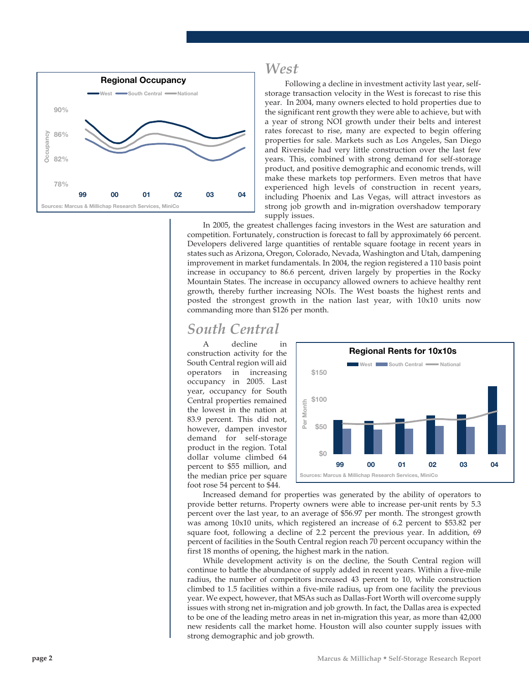

### *West*

Following a decline in investment activity last year, selfstorage transaction velocity in the West is forecast to rise this year. In 2004, many owners elected to hold properties due to the significant rent growth they were able to achieve, but with a year of strong NOI growth under their belts and interest rates forecast to rise, many are expected to begin offering properties for sale. Markets such as Los Angeles, San Diego and Riverside had very little construction over the last few years. This, combined with strong demand for self-storage product, and positive demographic and economic trends, will make these markets top performers. Even metros that have experienced high levels of construction in recent years, including Phoenix and Las Vegas, will attract investors as strong job growth and in-migration overshadow temporary supply issues.

In 2005, the greatest challenges facing investors in the West are saturation and competition. Fortunately, construction is forecast to fall by approximately 66 percent. Developers delivered large quantities of rentable square footage in recent years in states such as Arizona, Oregon, Colorado, Nevada, Washington and Utah, dampening improvement in market fundamentals. In 2004, the region registered a 110 basis point increase in occupancy to 86.6 percent, driven largely by properties in the Rocky Mountain States. The increase in occupancy allowed owners to achieve healthy rent growth, thereby further increasing NOIs. The West boasts the highest rents and posted the strongest growth in the nation last year, with 10x10 units now commanding more than \$126 per month.

### *South Central*

A decline in construction activity for the South Central region will aid operators in increasing occupancy in 2005. Last year, occupancy for South Central properties remained the lowest in the nation at 83.9 percent. This did not, however, dampen investor demand for self-storage product in the region. Total dollar volume climbed 64 percent to \$55 million, and the median price per square foot rose 54 percent to \$44.



Increased demand for properties was generated by the ability of operators to provide better returns. Property owners were able to increase per-unit rents by 5.3 percent over the last year, to an average of \$56.97 per month. The strongest growth was among 10x10 units, which registered an increase of 6.2 percent to \$53.82 per square foot, following a decline of 2.2 percent the previous year. In addition, 69 percent of facilities in the South Central region reach 70 percent occupancy within the first 18 months of opening, the highest mark in the nation.

While development activity is on the decline, the South Central region will continue to battle the abundance of supply added in recent years. Within a five-mile radius, the number of competitors increased 43 percent to 10, while construction climbed to 1.5 facilities within a five-mile radius, up from one facility the previous year. We expect, however, that MSAs such as Dallas-Fort Worth will overcome supply issues with strong net in-migration and job growth. In fact, the Dallas area is expected to be one of the leading metro areas in net in-migration this year, as more than 42,000 new residents call the market home. Houston will also counter supply issues with strong demographic and job growth.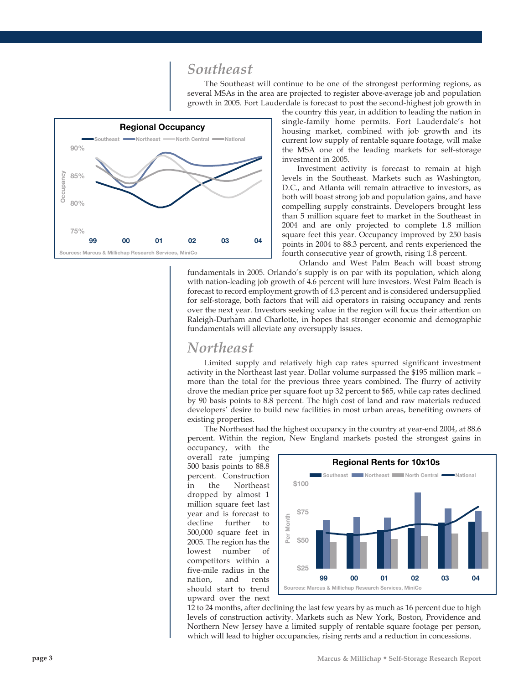### *Southeast*

The Southeast will continue to be one of the strongest performing regions, as several MSAs in the area are projected to register above-average job and population growth in 2005. Fort Lauderdale is forecast to post the second-highest job growth in



the country this year, in addition to leading the nation in single-family home permits. Fort Lauderdale's hot housing market, combined with job growth and its current low supply of rentable square footage, will make the MSA one of the leading markets for self-storage investment in 2005.

Investment activity is forecast to remain at high levels in the Southeast. Markets such as Washington, D.C., and Atlanta will remain attractive to investors, as both will boast strong job and population gains, and have compelling supply constraints. Developers brought less than 5 million square feet to market in the Southeast in 2004 and are only projected to complete 1.8 million square feet this year. Occupancy improved by 250 basis points in 2004 to 88.3 percent, and rents experienced the fourth consecutive year of growth, rising 1.8 percent.

Orlando and West Palm Beach will boast strong fundamentals in 2005. Orlando's supply is on par with its population, which along with nation-leading job growth of 4.6 percent will lure investors. West Palm Beach is forecast to record employment growth of 4.3 percent and is considered undersupplied for self-storage, both factors that will aid operators in raising occupancy and rents over the next year. Investors seeking value in the region will focus their attention on Raleigh-Durham and Charlotte, in hopes that stronger economic and demographic fundamentals will alleviate any oversupply issues.

#### *Northeast*

Limited supply and relatively high cap rates spurred significant investment activity in the Northeast last year. Dollar volume surpassed the \$195 million mark – more than the total for the previous three years combined. The flurry of activity drove the median price per square foot up 32 percent to \$65, while cap rates declined by 90 basis points to 8.8 percent. The high cost of land and raw materials reduced developers' desire to build new facilities in most urban areas, benefiting owners of existing properties.

The Northeast had the highest occupancy in the country at year-end 2004, at 88.6 percent. Within the region, New England markets posted the strongest gains in

occupancy, with the overall rate jumping 500 basis points to 88.8 percent. Construction in the Northeast dropped by almost 1 million square feet last year and is forecast to decline further to 500,000 square feet in 2005. The region has the lowest number of competitors within a five-mile radius in the nation, and rents should start to trend upward over the next



12 to 24 months, after declining the last few years by as much as 16 percent due to high levels of construction activity. Markets such as New York, Boston, Providence and Northern New Jersey have a limited supply of rentable square footage per person, which will lead to higher occupancies, rising rents and a reduction in concessions.